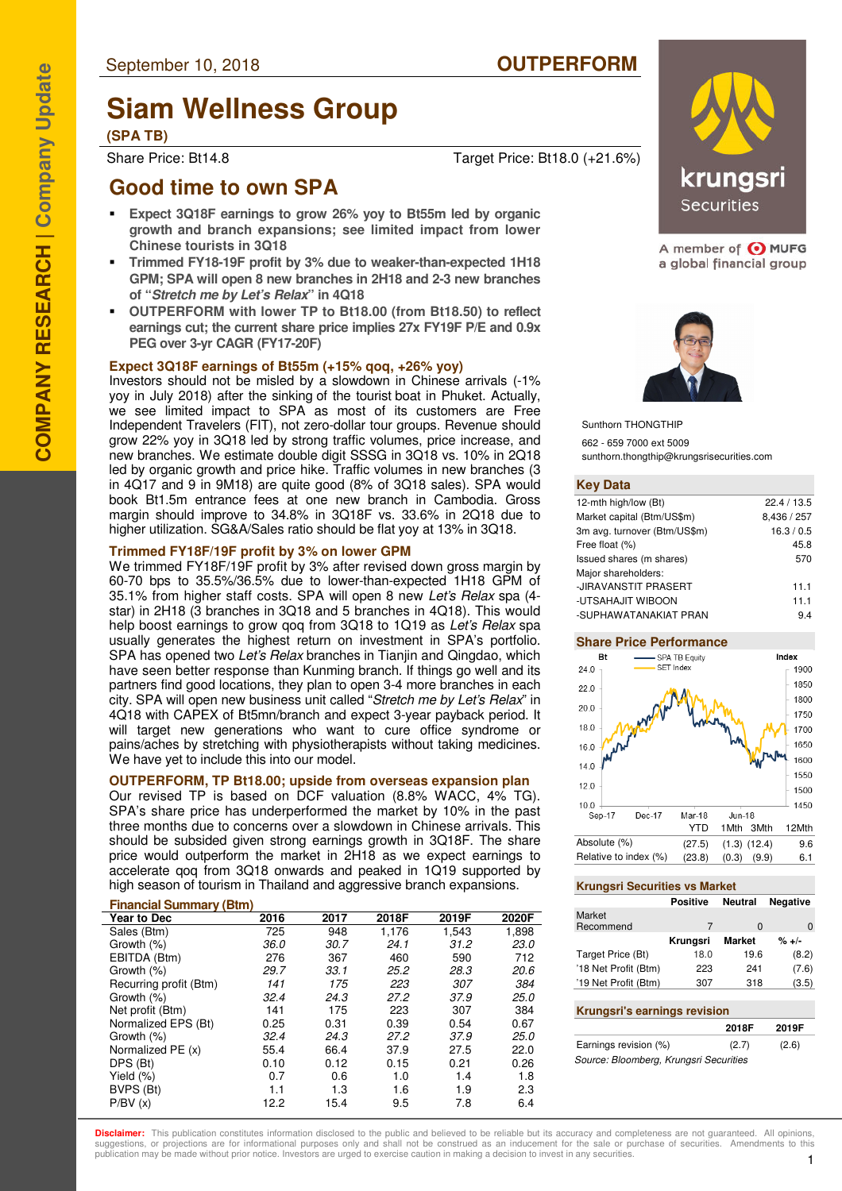# **Siam Wellness Group**

**(SPA TB)**

Share Price: Bt14.8 Target Price: Bt18.0 (+21.6%)

## **Good time to own SPA**

- **Expect 3Q18F earnings to grow 26% yoy to Bt55m led by organic growth and branch expansions; see limited impact from lower Chinese tourists in 3Q18**
- **Trimmed FY18-19F profit by 3% due to weaker-than-expected 1H18 GPM; SPA will open 8 new branches in 2H18 and 2-3 new branches of "Stretch me by Let's Relax" in 4Q18**
- **OUTPERFORM with lower TP to Bt18.00 (from Bt18.50) to reflect earnings cut; the current share price implies 27x FY19F P/E and 0.9x PEG over 3-yr CAGR (FY17-20F)**

#### **Expect 3Q18F earnings of Bt55m (+15% qoq, +26% yoy)**

Investors should not be misled by a slowdown in Chinese arrivals (-1% yoy in July 2018) after the sinking of the tourist boat in Phuket. Actually, we see limited impact to SPA as most of its customers are Free Independent Travelers (FIT), not zero-dollar tour groups. Revenue should grow 22% yoy in 3Q18 led by strong traffic volumes, price increase, and new branches. We estimate double digit SSSG in 3Q18 vs. 10% in 2Q18 led by organic growth and price hike. Traffic volumes in new branches (3 in 4Q17 and 9 in 9M18) are quite good (8% of 3Q18 sales). SPA would book Bt1.5m entrance fees at one new branch in Cambodia. Gross margin should improve to 34.8% in 3Q18F vs. 33.6% in 2Q18 due to higher utilization. SG&A/Sales ratio should be flat yoy at 13% in 3Q18.

#### **Trimmed FY18F/19F profit by 3% on lower GPM**

We trimmed FY18F/19F profit by 3% after revised down gross margin by 60-70 bps to 35.5%/36.5% due to lower-than-expected 1H18 GPM of 35.1% from higher staff costs. SPA will open 8 new Let's Relax spa (4 star) in 2H18 (3 branches in 3Q18 and 5 branches in 4Q18). This would help boost earnings to grow gog from 3Q18 to 1Q19 as Let's Relax spa usually generates the highest return on investment in SPA's portfolio. SPA has opened two Let's Relax branches in Tianjin and Qingdao, which have seen better response than Kunming branch. If things go well and its partners find good locations, they plan to open 3-4 more branches in each city. SPA will open new business unit called "Stretch me by Let's Relax" in 4Q18 with CAPEX of Bt5mn/branch and expect 3-year payback period. It will target new generations who want to cure office syndrome or pains/aches by stretching with physiotherapists without taking medicines. We have yet to include this into our model.

#### **OUTPERFORM, TP Bt18.00; upside from overseas expansion plan**

Our revised TP is based on DCF valuation (8.8% WACC, 4% TG). SPA's share price has underperformed the market by 10% in the past three months due to concerns over a slowdown in Chinese arrivals. This should be subsided given strong earnings growth in 3Q18F. The share price would outperform the market in 2H18 as we expect earnings to accelerate qoq from 3Q18 onwards and peaked in 1Q19 supported by high season of tourism in Thailand and aggressive branch expansions.

#### **Financial Summary (Btm)**

| Year to Dec            | 2016 | 2017 | 2018F | 2019F | 2020F |
|------------------------|------|------|-------|-------|-------|
| Sales (Btm)            | 725  | 948  | 1.176 | 1,543 | 1,898 |
| Growth (%)             | 36.0 | 30.7 | 24.1  | 31.2  | 23.0  |
| EBITDA (Btm)           | 276  | 367  | 460   | 590   | 712   |
| Growth (%)             | 29.7 | 33.1 | 25.2  | 28.3  | 20.6  |
| Recurring profit (Btm) | 141  | 175  | 223   | 307   | 384   |
| Growth (%)             | 32.4 | 24.3 | 27.2  | 37.9  | 25.0  |
| Net profit (Btm)       | 141  | 175  | 223   | 307   | 384   |
| Normalized EPS (Bt)    | 0.25 | 0.31 | 0.39  | 0.54  | 0.67  |
| Growth (%)             | 32.4 | 24.3 | 27.2  | 37.9  | 25.0  |
| Normalized PE (x)      | 55.4 | 66.4 | 37.9  | 27.5  | 22.0  |
| DPS (Bt)               | 0.10 | 0.12 | 0.15  | 0.21  | 0.26  |
| Yield (%)              | 0.7  | 0.6  | 1.0   | 1.4   | 1.8   |
| BVPS (Bt)              | 1.1  | 1.3  | 1.6   | 1.9   | 2.3   |
| P/BV(x)                | 12.2 | 15.4 | 9.5   | 7.8   | 6.4   |



A member of O MUFG a global financial group



Sunthorn THONGTHIP

662 - 659 7000 ext 5009 sunthorn.thongthip@krungsrisecurities.com

#### **Key Data**

| 12-mth high/low (Bt)         | 22.4 / 13.5 |
|------------------------------|-------------|
| Market capital (Btm/US\$m)   | 8,436 / 257 |
| 3m avg. turnover (Btm/US\$m) | 16.3 / 0.5  |
| Free float (%)               | 45.8        |
| Issued shares (m shares)     | 570         |
| Major shareholders:          |             |
| -JIRAVANSTIT PRASERT         | 11.1        |
| -UTSAHAJIT WIBOON            | 11.1        |
| -SUPHAWATANAKIAT PRAN        | 9.4         |

#### **Share Price Performance**



#### **Krungsri Securities vs Market**

|                      | <b>Positive</b> | Neutral       | <b>Negative</b> |
|----------------------|-----------------|---------------|-----------------|
| Market               |                 |               |                 |
| Recommend            | 7               | 0             | 0               |
|                      | Krungsri        | <b>Market</b> | $% + -$         |
| Target Price (Bt)    | 18.0            | 19.6          | (8.2)           |
| '18 Net Profit (Btm) | 223             | 241           | (7.6)           |
| '19 Net Profit (Btm) | 307             | 318           | (3.5)           |
|                      |                 |               |                 |

#### **Krungsri's earnings revision**

|                                        | 2018F | 2019F |
|----------------------------------------|-------|-------|
| Earnings revision (%)                  | (2.7) | (2.6) |
| Source: Bloomberg, Krungsri Securities |       |       |

**Disclaimer:** This publication constitutes information disclosed to the public and believed to be reliable but its accuracy and completeness are not quaranteed. All opinions suggestions, or projections are for informational purposes only and shall not be construed as an inducement for the sale or purchase of securities. Amendments to this publication may be made without prior notice. Investors are urged to exercise caution in making a decision to invest in any securities.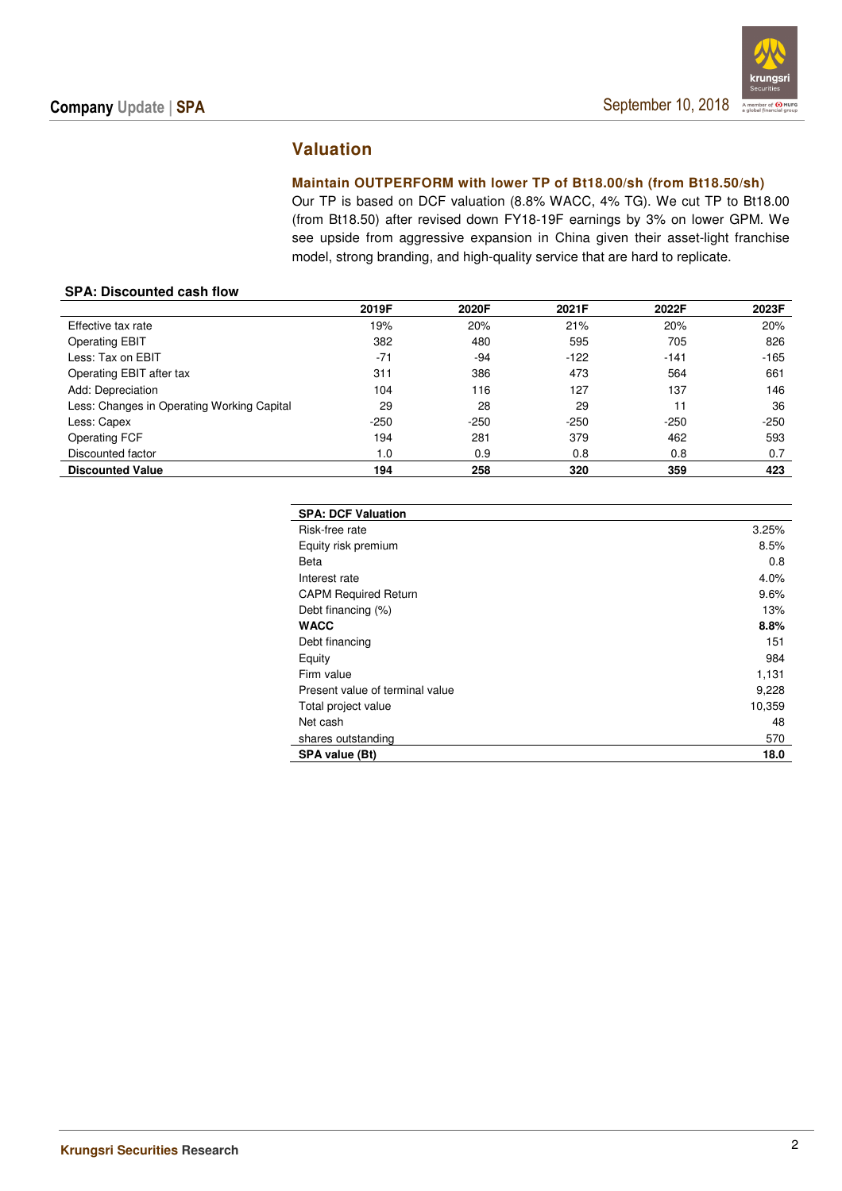

## **Valuation**

#### **Maintain OUTPERFORM with lower TP of Bt18.00/sh (from Bt18.50/sh)**

Our TP is based on DCF valuation (8.8% WACC, 4% TG). We cut TP to Bt18.00 (from Bt18.50) after revised down FY18-19F earnings by 3% on lower GPM. We see upside from aggressive expansion in China given their asset-light franchise model, strong branding, and high-quality service that are hard to replicate.

#### **SPA: Discounted cash flow**

|                                            | 2019F  | 2020F  | 2021F  | 2022F  | 2023F  |
|--------------------------------------------|--------|--------|--------|--------|--------|
| Effective tax rate                         | 19%    | 20%    | 21%    | 20%    | 20%    |
| <b>Operating EBIT</b>                      | 382    | 480    | 595    | 705    | 826    |
| Less: Tax on EBIT                          | $-71$  | $-94$  | $-122$ | $-141$ | $-165$ |
| Operating EBIT after tax                   | 311    | 386    | 473    | 564    | 661    |
| Add: Depreciation                          | 104    | 116    | 127    | 137    | 146    |
| Less: Changes in Operating Working Capital | 29     | 28     | 29     | 11     | 36     |
| Less: Capex                                | $-250$ | $-250$ | $-250$ | $-250$ | $-250$ |
| <b>Operating FCF</b>                       | 194    | 281    | 379    | 462    | 593    |
| Discounted factor                          | 1.0    | 0.9    | 0.8    | 0.8    | 0.7    |
| <b>Discounted Value</b>                    | 194    | 258    | 320    | 359    | 423    |

| <b>SPA: DCF Valuation</b>       |        |
|---------------------------------|--------|
| Risk-free rate                  | 3.25%  |
| Equity risk premium             | 8.5%   |
| Beta                            | 0.8    |
| Interest rate                   | 4.0%   |
| <b>CAPM Required Return</b>     | 9.6%   |
| Debt financing (%)              | 13%    |
| <b>WACC</b>                     | 8.8%   |
| Debt financing                  | 151    |
| Equity                          | 984    |
| Firm value                      | 1,131  |
| Present value of terminal value | 9,228  |
| Total project value             | 10,359 |
| Net cash                        | 48     |
| shares outstanding              | 570    |
| SPA value (Bt)                  | 18.0   |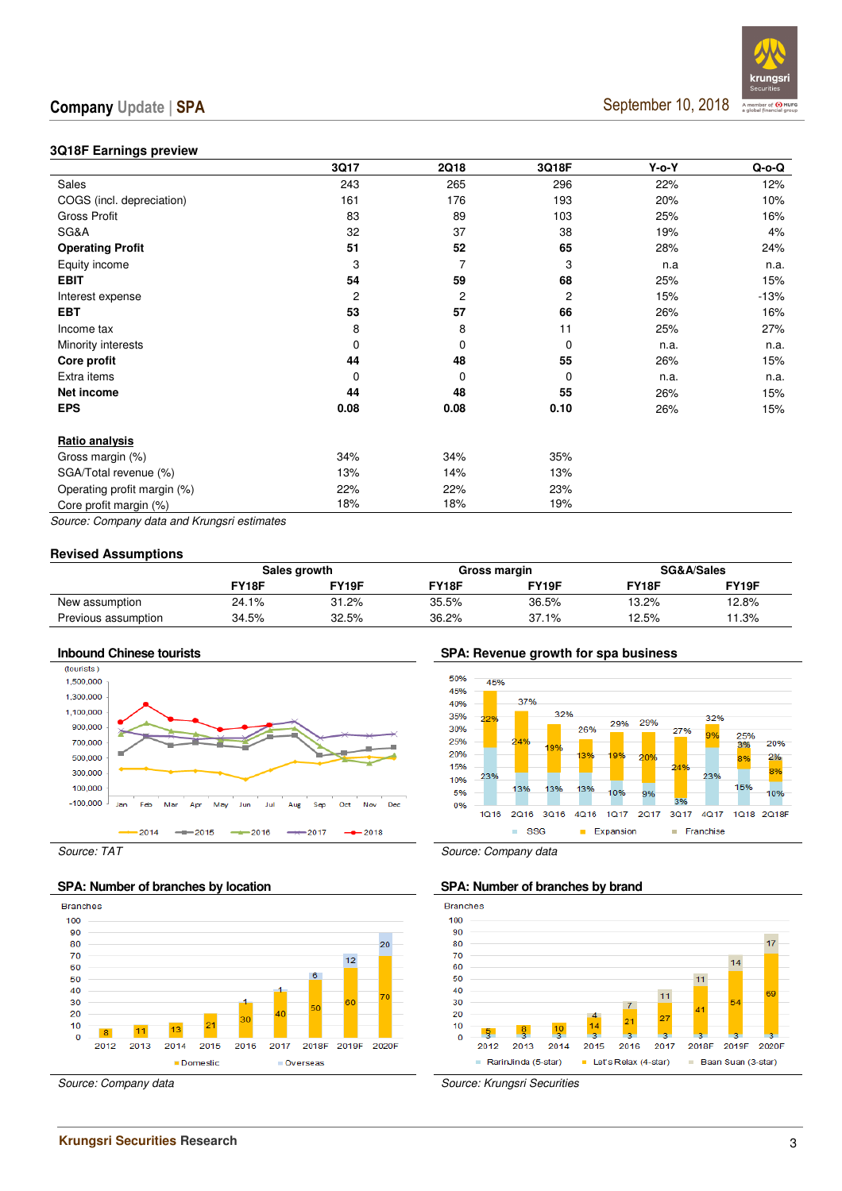#### **3Q18F Earnings preview**

|                             | 3Q17     | 2Q18     | 3Q18F          | $Y$ -o- $Y$ | $Q$ -o- $Q$ |
|-----------------------------|----------|----------|----------------|-------------|-------------|
| <b>Sales</b>                | 243      | 265      | 296            | 22%         | 12%         |
| COGS (incl. depreciation)   | 161      | 176      | 193            | 20%         | 10%         |
| Gross Profit                | 83       | 89       | 103            | 25%         | 16%         |
| SG&A                        | 32       | 37       | 38             | 19%         | 4%          |
| <b>Operating Profit</b>     | 51       | 52       | 65             | 28%         | 24%         |
| Equity income               | 3        | 7        | 3              | n.a         | n.a.        |
| <b>EBIT</b>                 | 54       | 59       | 68             | 25%         | 15%         |
| Interest expense            | 2        | 2        | $\overline{c}$ | 15%         | $-13%$      |
| <b>EBT</b>                  | 53       | 57       | 66             | 26%         | 16%         |
| Income tax                  | 8        | 8        | 11             | 25%         | 27%         |
| Minority interests          | 0        | 0        | 0              | n.a.        | n.a.        |
| Core profit                 | 44       | 48       | 55             | 26%         | 15%         |
| Extra items                 | $\Omega$ | $\Omega$ | $\mathbf 0$    | n.a.        | n.a.        |
| Net income                  | 44       | 48       | 55             | 26%         | 15%         |
| <b>EPS</b>                  | 0.08     | 0.08     | 0.10           | 26%         | 15%         |
| Ratio analysis              |          |          |                |             |             |
| Gross margin (%)            | 34%      | 34%      | 35%            |             |             |
| SGA/Total revenue (%)       | 13%      | 14%      | 13%            |             |             |
| Operating profit margin (%) | 22%      | 22%      | 23%            |             |             |
| Core profit margin (%)      | 18%      | 18%      | 19%            |             |             |
|                             |          |          |                |             |             |

Source: Company data and Krungsri estimates

#### **Revised Assumptions**

|                     |       | Sales growth |       | Gross margin |       | SG&A/Sales |
|---------------------|-------|--------------|-------|--------------|-------|------------|
|                     | FY18F | FY19F        | FY18F | FY19F        | FY18F | FY19F      |
| New assumption      | 24.1% | 31.2%        | 35.5% | 36.5%        | 13.2% | 12.8%      |
| Previous assumption | 34.5% | 32.5%        | 36.2% | 37.1%        | 12.5% | 11.3%      |



#### SPA: Number of branches by location SPA: Number of branches by brand



**Inbound Chinese tourists SPA: Revenue growth for spa business** 





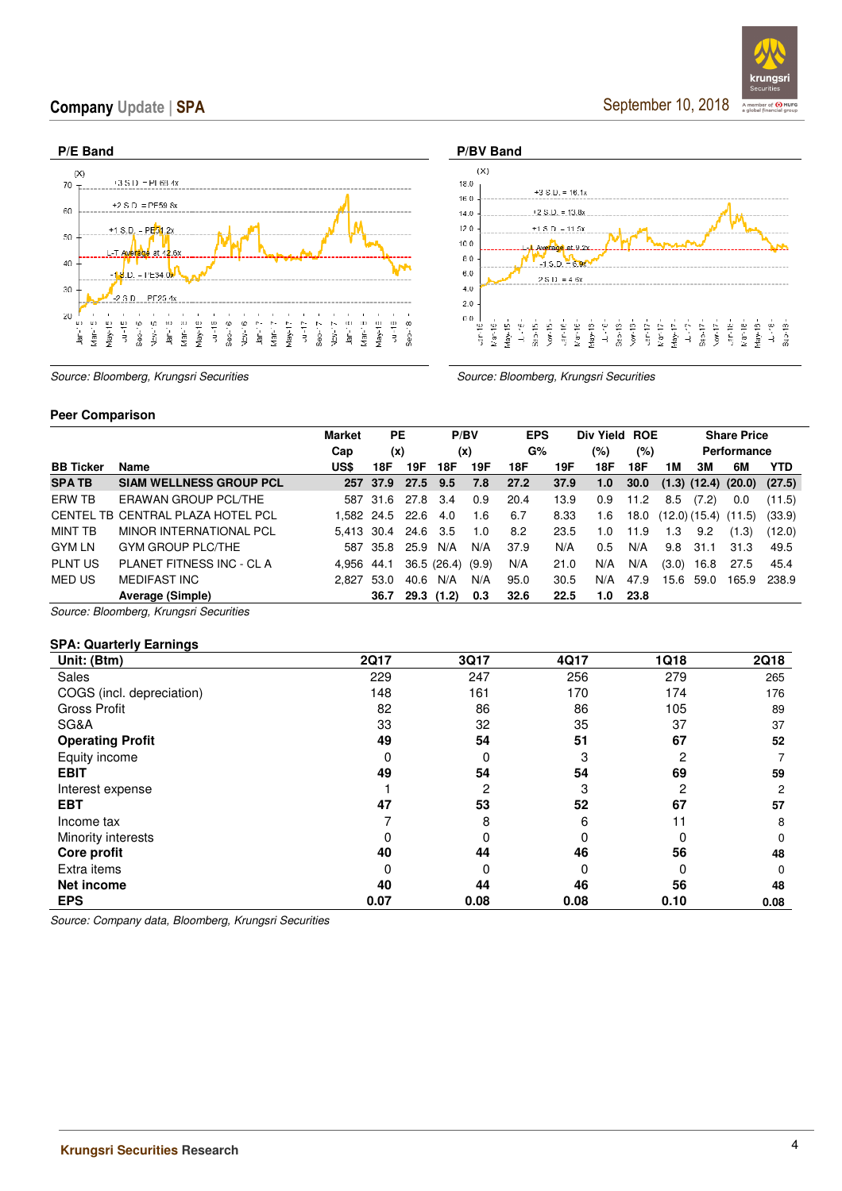September 10, 2018

 $Sep-17 Now-17$  $\sqrt{ar-1\varepsilon}$ 

 $an-18$  $7a$ y-13 LL-16<br>Sep-13





Source: Bloomberg, Krungsri Securities Source: Bloomberg, Krungsri Securities Source: Bloomberg, Krungsri Securities

#### **Peer Comparison**

|                  |                                           | <b>Market</b> | PE              |      | P/BV            |     | <b>EPS</b> |      | Div Yield ROE |         |       |       | <b>Share Price</b>                 |            |
|------------------|-------------------------------------------|---------------|-----------------|------|-----------------|-----|------------|------|---------------|---------|-------|-------|------------------------------------|------------|
|                  |                                           | Cap           | (x)             |      | (x)             |     | G%         |      | (%)           | $(\% )$ |       |       | Performance                        |            |
| <b>BB Ticker</b> | Name                                      | US\$          | 18F             | 19F  | 18F             | 19F | 18F        | 19F  | 18F           | 18F     | 1M    | зм    | 6M                                 | <b>YTD</b> |
| <b>SPATB</b>     | <b>SIAM WELLNESS GROUP PCL</b>            | 257           | 37.9            | 27.5 | 9.5             | 7.8 | 27.2       | 37.9 | 1.0           | 30.0    |       |       | $(1.3)$ $(12.4)$ $(20.0)$ $(27.5)$ |            |
| ERW TB           | ERAWAN GROUP PCL/THE                      |               | 587 31.6        | 27.8 | 3.4             | 0.9 | 20.4       | 13.9 | 0.9           | 11.2    | 8.5   | (7.2) | 0.0                                | (11.5)     |
|                  | CENTEL TB CENTRAL PLAZA HOTEL PCL         |               | 1,582 24.5 22.6 |      | 4.0             | 1.6 | 6.7        | 8.33 | 1.6           | 18.0    |       |       | $(12.0)$ $(15.4)$ $(11.5)$         | (33.9)     |
| <b>MINT TB</b>   | MINOR INTERNATIONAL PCL                   |               | 5.413 30.4 24.6 |      | -3.5            | 1.0 | 8.2        | 23.5 | 1.0           | 11.9    | 1.3   | 9.2   | (1.3)                              | (12.0)     |
| <b>GYM LN</b>    | <b>GYM GROUP PLC/THE</b>                  |               | 587 35.8        | 25.9 | N/A             | N/A | 37.9       | N/A  | $0.5^{\circ}$ | N/A     | 9.8   | 31.1  | 31.3                               | 49.5       |
| <b>PLNT US</b>   | PLANET FITNESS INC - CL A                 | 4.956         | 44.1            |      | 36.5(26.4)(9.9) |     | N/A        | 21.0 | N/A           | N/A     | (3.0) | 16.8  | 27.5                               | 45.4       |
| MED US           | <b>MEDIFAST INC</b>                       | 2.827         | 53.0            | 40.6 | N/A             | N/A | 95.0       | 30.5 | N/A           | 47.9    | 15.6  | 59.0  | 165.9                              | 238.9      |
|                  | Average (Simple)                          |               | 36.7            |      | 29.3(1.2)       | 0.3 | 32.6       | 22.5 | 1.0           | 23.8    |       |       |                                    |            |
|                  | $\sim$ $\sim$ $\sim$ $\sim$ $\sim$ $\sim$ |               |                 |      |                 |     |            |      |               |         |       |       |                                    |            |

Source: Bloomberg, Krungsri Securities

#### **SPA: Quarterly Earnings**

| Unit: (Btm)               | <b>2Q17</b> | 3Q17 | 4Q17 | 1Q18 | <b>2Q18</b> |
|---------------------------|-------------|------|------|------|-------------|
| Sales                     | 229         | 247  | 256  | 279  | 265         |
| COGS (incl. depreciation) | 148         | 161  | 170  | 174  | 176         |
| <b>Gross Profit</b>       | 82          | 86   | 86   | 105  | 89          |
| SG&A                      | 33          | 32   | 35   | 37   | 37          |
| <b>Operating Profit</b>   | 49          | 54   | 51   | 67   | 52          |
| Equity income             | $\Omega$    | 0    | 3    | 2    |             |
| <b>EBIT</b>               | 49          | 54   | 54   | 69   | 59          |
| Interest expense          |             | 2    | З    | 2    | 2           |
| <b>EBT</b>                | 47          | 53   | 52   | 67   | 57          |
| Income tax                |             | 8    | 6    | 11   | 8           |
| Minority interests        |             |      | 0    |      |             |
| Core profit               | 40          | 44   | 46   | 56   | 48          |
| Extra items               | 0           | 0    |      |      |             |
| Net income                | 40          | 44   | 46   | 56   | 48          |
| <b>EPS</b>                | 0.07        | 0.08 | 0.08 | 0.10 | 0.08        |

Source: Company data, Bloomberg, Krungsri Securities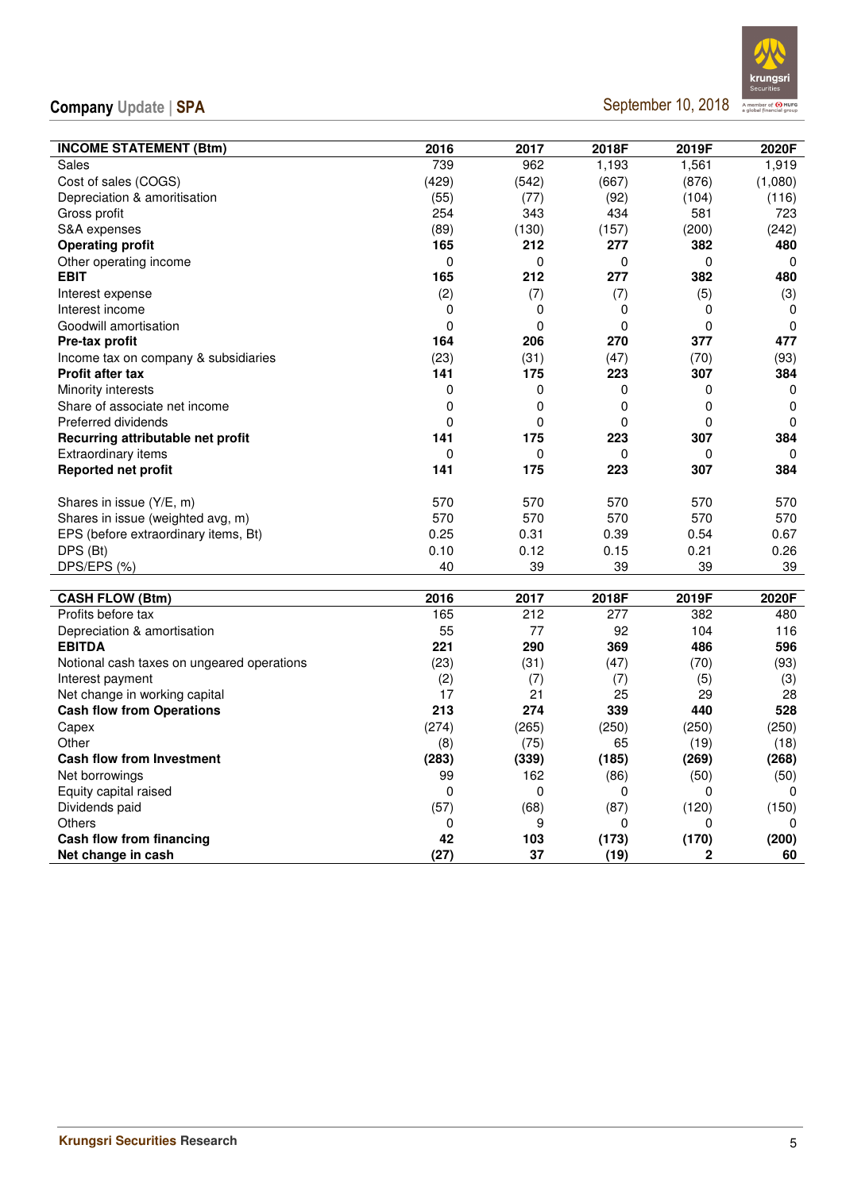September 10, 2018



| <b>INCOME STATEMENT (Btm)</b>              | 2016         | 2017        | 2018F    | 2019F       | 2020F       |
|--------------------------------------------|--------------|-------------|----------|-------------|-------------|
| Sales                                      | 739          | 962         | 1,193    | 1,561       | 1,919       |
| Cost of sales (COGS)                       | (429)        | (542)       | (667)    | (876)       | (1,080)     |
| Depreciation & amoritisation               | (55)         | (77)        | (92)     | (104)       | (116)       |
| Gross profit                               | 254          | 343         | 434      | 581         | 723         |
| S&A expenses                               | (89)         | (130)       | (157)    | (200)       | (242)       |
| <b>Operating profit</b>                    | 165          | 212         | 277      | 382         | 480         |
| Other operating income                     | 0            | 0           | 0        | $\mathbf 0$ | 0           |
| <b>EBIT</b>                                | 165          | 212         | 277      | 382         | 480         |
| Interest expense                           | (2)          | (7)         | (7)      | (5)         | (3)         |
| Interest income                            | 0            | 0           | 0        | 0           | 0           |
| Goodwill amortisation                      | 0            | $\mathbf 0$ | 0        | 0           | $\mathbf 0$ |
| Pre-tax profit                             | 164          | 206         | 270      | 377         | 477         |
| Income tax on company & subsidiaries       | (23)         | (31)        | (47)     | (70)        | (93)        |
| <b>Profit after tax</b>                    | 141          | 175         | 223      | 307         | 384         |
| Minority interests                         | 0            | $\mathbf 0$ | 0        | 0           | 0           |
| Share of associate net income              | 0            | 0           | 0        | 0           | 0           |
| Preferred dividends                        | 0            | 0           | 0        | 0           | $\mathbf 0$ |
| Recurring attributable net profit          | 141          | 175         | 223      | 307         | 384         |
| <b>Extraordinary items</b>                 | $\mathbf{0}$ | $\mathbf 0$ | $\Omega$ | 0           | $\Omega$    |
| Reported net profit                        | 141          | 175         | 223      | 307         | 384         |
|                                            |              |             |          |             |             |
| Shares in issue (Y/E, m)                   | 570          | 570         | 570      | 570         | 570         |
| Shares in issue (weighted avg, m)          | 570          | 570         | 570      | 570         | 570         |
| EPS (before extraordinary items, Bt)       | 0.25         | 0.31        | 0.39     | 0.54        | 0.67        |
| DPS (Bt)                                   | 0.10         | 0.12        | 0.15     | 0.21        | 0.26        |
| DPS/EPS (%)                                | 40           | 39          | 39       | 39          | 39          |
| <b>CASH FLOW (Btm)</b>                     | 2016         | 2017        | 2018F    | 2019F       | 2020F       |
| Profits before tax                         | 165          | 212         | 277      | 382         | 480         |
| Depreciation & amortisation                | 55           | 77          | 92       | 104         | 116         |
| <b>EBITDA</b>                              | 221          | 290         | 369      | 486         | 596         |
| Notional cash taxes on ungeared operations | (23)         | (31)        | (47)     | (70)        | (93)        |
| Interest payment                           | (2)          | (7)         | (7)      | (5)         | (3)         |
| Net change in working capital              | 17           | 21          | 25       | 29          | 28          |
| <b>Cash flow from Operations</b>           | 213          | 274         | 339      | 440         | 528         |
| Capex                                      | (274)        | (265)       | (250)    | (250)       | (250)       |
| Other                                      | (8)          | (75)        | 65       | (19)        | (18)        |
| <b>Cash flow from Investment</b>           | (283)        | (339)       | (185)    | (269)       | (268)       |
| Net borrowings                             | 99           | 162         | (86)     | (50)        | (50)        |
| Equity capital raised                      | 0            | $\Omega$    | 0        | 0           | 0           |
| Dividends paid                             | (57)         | (68)        | (87)     | (120)       | (150)       |
| <b>Others</b>                              | $\Omega$     | 9           | $\Omega$ | 0           | 0           |
| Cash flow from financing                   | 42           | 103         | (173)    | (170)       | (200)       |
| Net change in cash                         | (27)         | 37          | (19)     | 2           | 60          |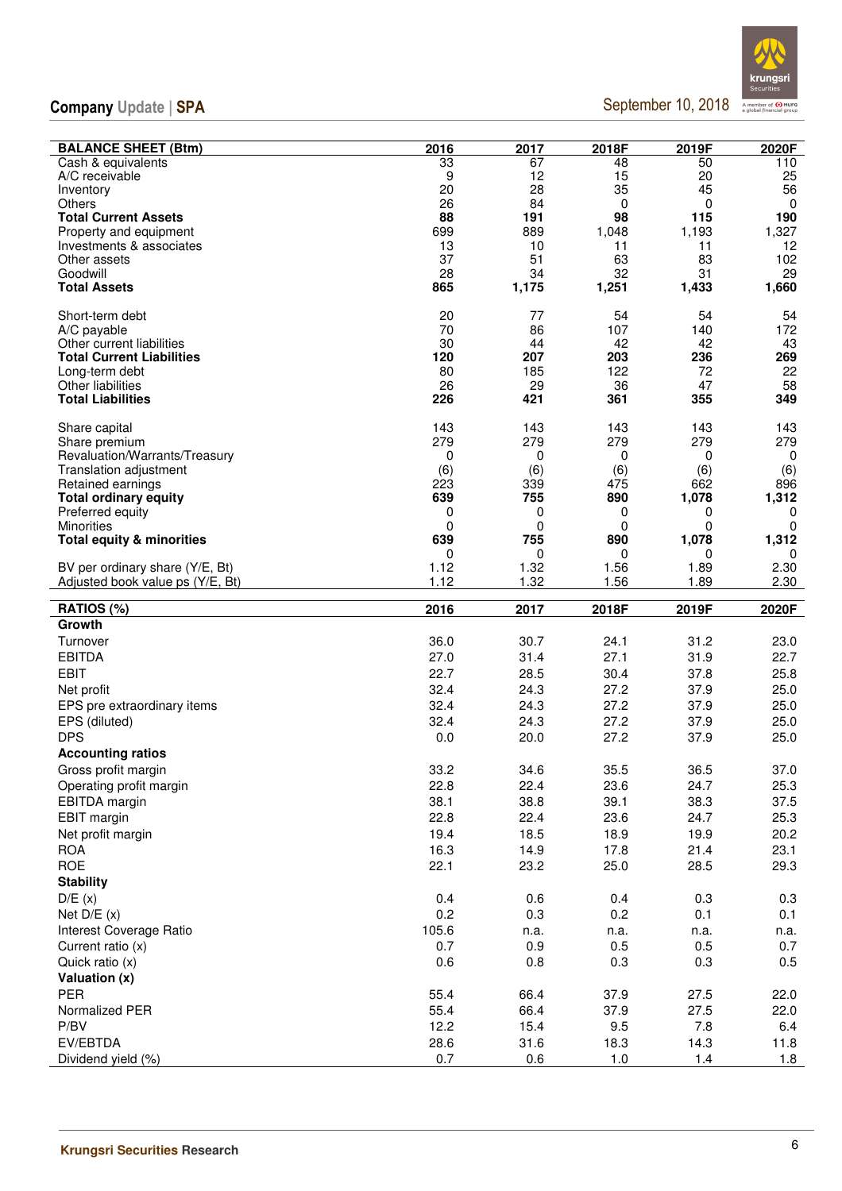September 10, 2018



| <b>BALANCE SHEET (Btm)</b>           | 2016        | 2017        | 2018F       | 2019F       | 2020F       |
|--------------------------------------|-------------|-------------|-------------|-------------|-------------|
| Cash & equivalents                   | 33          | 67          | 48          | 50          | 110         |
| A/C receivable                       | 9           | 12          | 15          | 20          | 25          |
| Inventory                            | 20          | 28          | 35          | 45          | 56          |
| Others                               | 26          | 84          | 0           | 0           | 0           |
| <b>Total Current Assets</b>          | 88          | 191         | 98          | 115         | 190         |
| Property and equipment               | 699         | 889         | 1,048       | 1,193       | 1,327       |
| Investments & associates             | 13          | 10          | 11          | 11          | 12          |
| Other assets                         | 37          | 51          | 63          | 83          | 102         |
| Goodwill                             | 28<br>865   | 34          | 32          | 31<br>1,433 | 29          |
| <b>Total Assets</b>                  |             | 1,175       | 1,251       |             | 1,660       |
| Short-term debt                      | 20          | 77          | 54          | 54          | 54          |
| A/C payable                          | 70          | 86          | 107         | 140         | 172         |
| Other current liabilities            | 30          | 44          | 42          | 42          | 43          |
| <b>Total Current Liabilities</b>     | 120         | 207         | 203         | 236         | 269         |
| Long-term debt                       | 80          | 185         | 122         | 72          | 22          |
| Other liabilities                    | 26          | 29          | 36          | 47          | 58          |
| <b>Total Liabilities</b>             | 226         | 421         | 361         | 355         | 349         |
| Share capital                        | 143         | 143         | 143         | 143         | 143         |
| Share premium                        | 279         | 279         | 279         | 279         | 279         |
| Revaluation/Warrants/Treasury        | 0           | 0           | 0           | 0           | 0           |
| Translation adjustment               | (6)         | (6)         | (6)         | (6)         | (6)         |
| Retained earnings                    | 223         | 339         | 475         | 662         | 896         |
| <b>Total ordinary equity</b>         | 639         | 755         | 890         | 1,078       | 1,312       |
| Preferred equity                     | 0           | 0           | 0           | 0           | 0           |
| <b>Minorities</b>                    | 0           | 0           | 0           | 0           | 0           |
| <b>Total equity &amp; minorities</b> | 639<br>0    | 755<br>0    | 890<br>0    | 1,078<br>0  | 1,312<br>0  |
| BV per ordinary share (Y/E, Bt)      | 1.12        | 1.32        | 1.56        | 1.89        | 2.30        |
| Adjusted book value ps (Y/E, Bt)     | 1.12        | 1.32        | 1.56        | 1.89        | 2.30        |
|                                      |             |             |             |             |             |
|                                      |             |             |             |             |             |
| RATIOS (%)                           | 2016        | 2017        | 2018F       | 2019F       | 2020F       |
| Growth                               |             |             |             |             |             |
| Turnover                             | 36.0        | 30.7        | 24.1        | 31.2        | 23.0        |
| <b>EBITDA</b>                        | 27.0        | 31.4        | 27.1        | 31.9        | 22.7        |
| <b>EBIT</b>                          | 22.7        | 28.5        | 30.4        | 37.8        | 25.8        |
| Net profit                           | 32.4        | 24.3        | 27.2        | 37.9        | 25.0        |
| EPS pre extraordinary items          | 32.4        | 24.3        | 27.2        | 37.9        | 25.0        |
| EPS (diluted)                        | 32.4        | 24.3        | 27.2        | 37.9        | 25.0        |
| <b>DPS</b>                           | 0.0         | 20.0        | 27.2        | 37.9        | 25.0        |
| <b>Accounting ratios</b>             |             |             |             |             |             |
|                                      |             |             |             |             |             |
| Gross profit margin                  | 33.2        | 34.6        | 35.5        | 36.5        | 37.0        |
| Operating profit margin              | 22.8        | 22.4        | 23.6        | 24.7        | 25.3        |
| EBITDA margin                        | 38.1        | 38.8        | 39.1        | 38.3        | 37.5        |
| <b>EBIT</b> margin                   | 22.8        | 22.4        | 23.6        | 24.7        | 25.3        |
| Net profit margin                    | 19.4        | 18.5        | 18.9        | 19.9        | 20.2        |
| <b>ROA</b>                           | 16.3        | 14.9        | 17.8        | 21.4        | 23.1        |
| <b>ROE</b>                           | 22.1        | 23.2        | 25.0        | 28.5        | 29.3        |
| <b>Stability</b>                     |             |             |             |             |             |
| D/E(x)                               | 0.4         | 0.6         | 0.4         | 0.3         | 0.3         |
| Net $D/E(x)$                         | 0.2         | 0.3         | 0.2         | 0.1         | 0.1         |
| Interest Coverage Ratio              | 105.6       | n.a.        | n.a.        | n.a.        | n.a.        |
| Current ratio (x)                    | 0.7         | 0.9         | 0.5         | 0.5         | 0.7         |
| Quick ratio (x)                      | 0.6         | 0.8         | 0.3         | 0.3         | 0.5         |
| Valuation (x)                        |             |             |             |             |             |
| <b>PER</b>                           | 55.4        | 66.4        | 37.9        | 27.5        | 22.0        |
| Normalized PER                       | 55.4        | 66.4        | 37.9        | 27.5        | 22.0        |
| P/BV                                 | 12.2        | 15.4        | 9.5         | 7.8         | 6.4         |
| EV/EBTDA<br>Dividend yield (%)       | 28.6<br>0.7 | 31.6<br>0.6 | 18.3<br>1.0 | 14.3<br>1.4 | 11.8<br>1.8 |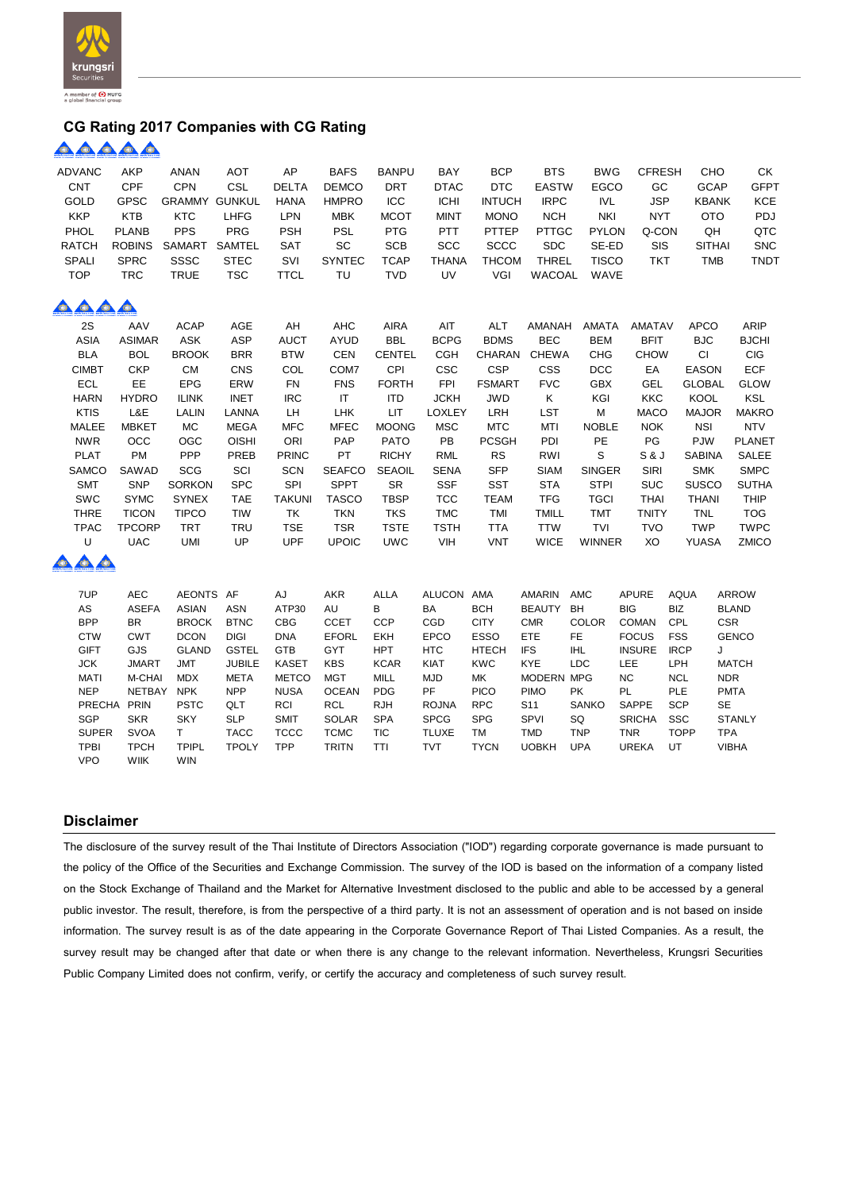

#### **CG Rating 2017 Companies with CG Rating**

### <u> AAAAA</u>

| <b>ADVANC</b>                                              | AKP                        | ANAN                 | <b>AOT</b>                  | AP                        | <b>BAFS</b>                 | <b>BANPU</b>  | BAY                        | <b>BCP</b>        | <b>BTS</b>    | <b>BWG</b>               | <b>CFRESH</b>              | CHO                             | <b>CK</b>     |
|------------------------------------------------------------|----------------------------|----------------------|-----------------------------|---------------------------|-----------------------------|---------------|----------------------------|-------------------|---------------|--------------------------|----------------------------|---------------------------------|---------------|
| <b>CNT</b>                                                 | CPF                        | <b>CPN</b>           | CSL                         | <b>DELTA</b>              | <b>DEMCO</b>                | <b>DRT</b>    | <b>DTAC</b>                | <b>DTC</b>        | <b>EASTW</b>  | <b>EGCO</b>              | GC                         | <b>GCAP</b>                     | <b>GFPT</b>   |
| GOLD                                                       | <b>GPSC</b>                | <b>GRAMMY GUNKUL</b> |                             | <b>HANA</b>               | <b>HMPRO</b>                | ICC           | <b>ICHI</b>                | <b>INTUCH</b>     | <b>IRPC</b>   | <b>IVL</b>               | <b>JSP</b>                 | <b>KBANK</b>                    | <b>KCE</b>    |
| <b>KKP</b>                                                 | <b>KTB</b>                 | <b>KTC</b>           | <b>LHFG</b>                 | <b>LPN</b>                | <b>MBK</b>                  | <b>MCOT</b>   | <b>MINT</b>                | <b>MONO</b>       | <b>NCH</b>    | <b>NKI</b>               | <b>NYT</b>                 | <b>OTO</b>                      | PDJ           |
| PHOL                                                       | <b>PLANB</b>               | <b>PPS</b>           | PRG                         | <b>PSH</b>                | <b>PSL</b>                  | PTG           | PTT                        | PTTEP             | <b>PTTGC</b>  | <b>PYLON</b>             | Q-CON                      | QH                              | QTC           |
| <b>RATCH</b>                                               | <b>ROBINS</b>              | SAMART               | SAMTEL                      | <b>SAT</b>                | SC                          | <b>SCB</b>    | SCC                        | <b>SCCC</b>       | <b>SDC</b>    | SE-ED                    | SIS                        | <b>SITHAI</b>                   | <b>SNC</b>    |
| SPALI                                                      | <b>SPRC</b>                | SSSC                 | <b>STEC</b>                 | SVI                       | <b>SYNTEC</b>               | <b>TCAP</b>   | <b>THANA</b>               | <b>THCOM</b>      | <b>THREL</b>  | <b>TISCO</b>             | <b>TKT</b>                 | <b>TMB</b>                      | <b>TNDT</b>   |
| <b>TOP</b>                                                 | <b>TRC</b>                 | <b>TRUE</b>          | <b>TSC</b>                  | <b>TTCL</b>               | TU                          | <b>TVD</b>    | UV                         | VGI               | WACOAL        | WAVE                     |                            |                                 |               |
| 000                                                        | O.                         |                      |                             |                           |                             |               |                            |                   |               |                          |                            |                                 |               |
| 2S                                                         | AAV                        | <b>ACAP</b>          | AGE                         | AH                        | <b>AHC</b>                  | <b>AIRA</b>   | AIT                        | <b>ALT</b>        | AMANAH        | AMATA                    | <b>AMATAV</b>              | <b>APCO</b>                     | ARIP          |
| <b>ASIA</b>                                                | <b>ASIMAR</b>              | ASK                  | <b>ASP</b>                  | <b>AUCT</b>               | <b>AYUD</b>                 | <b>BBL</b>    | <b>BCPG</b>                | <b>BDMS</b>       | <b>BEC</b>    | <b>BEM</b>               | <b>BFIT</b>                | <b>BJC</b>                      | <b>BJCHI</b>  |
| <b>BLA</b>                                                 | <b>BOL</b>                 | <b>BROOK</b>         | <b>BRR</b>                  | <b>BTW</b>                | CEN                         | <b>CENTEL</b> | <b>CGH</b>                 | CHARAN            | <b>CHEWA</b>  | <b>CHG</b>               | <b>CHOW</b>                | <b>CI</b>                       | <b>CIG</b>    |
| <b>CIMBT</b>                                               | <b>CKP</b>                 | <b>CM</b>            | CNS                         | COL                       | COM7                        | CPI           | <b>CSC</b>                 | <b>CSP</b>        | <b>CSS</b>    | <b>DCC</b>               | EA                         | <b>EASON</b>                    | <b>ECF</b>    |
| <b>ECL</b>                                                 | EE                         | EPG                  | ERW                         | <b>FN</b>                 | <b>FNS</b>                  | <b>FORTH</b>  | <b>FPI</b>                 | <b>FSMART</b>     | <b>FVC</b>    | <b>GBX</b>               | <b>GEL</b>                 | <b>GLOBAL</b>                   | <b>GLOW</b>   |
| <b>HARN</b>                                                | <b>HYDRO</b>               | <b>ILINK</b>         | <b>INET</b>                 | <b>IRC</b>                | $\mathsf{I}\mathsf{T}$      | <b>ITD</b>    | <b>JCKH</b>                | <b>JWD</b>        | Κ             | KGI                      | <b>KKC</b>                 | KOOL                            | KSL           |
| <b>KTIS</b>                                                | L&E                        | LALIN                | LANNA                       | LH                        | <b>LHK</b>                  | <b>LIT</b>    | <b>LOXLEY</b>              | LRH               | LST           | M                        | <b>MACO</b>                | <b>MAJOR</b>                    | <b>MAKRO</b>  |
| MALEE                                                      | <b>MBKET</b>               | MC                   | <b>MEGA</b>                 | <b>MFC</b>                | <b>MFEC</b>                 | <b>MOONG</b>  | <b>MSC</b>                 | <b>MTC</b>        | MTI           | <b>NOBLE</b>             | <b>NOK</b>                 | <b>NSI</b>                      | <b>NTV</b>    |
| <b>NWR</b>                                                 | OCC                        | OGC                  | <b>OISHI</b>                | ORI                       | PAP                         | <b>PATO</b>   | PB                         | <b>PCSGH</b>      | PDI           | PE                       | PG                         | <b>PJW</b>                      | <b>PLANET</b> |
| <b>PLAT</b>                                                | PM                         | PPP                  | PREB                        | <b>PRINC</b>              | PT                          | <b>RICHY</b>  | <b>RML</b>                 | <b>RS</b>         | RWI           | S                        | S & J                      | <b>SABINA</b>                   | SALEE         |
| SAMCO                                                      | SAWAD                      | SCG                  | SCI                         | <b>SCN</b>                | <b>SEAFCO</b>               | <b>SEAOIL</b> | <b>SENA</b>                | <b>SFP</b>        | <b>SIAM</b>   | <b>SINGER</b>            | <b>SIRI</b>                | <b>SMK</b>                      | <b>SMPC</b>   |
| <b>SMT</b>                                                 | SNP                        | <b>SORKON</b>        | <b>SPC</b>                  | SPI                       | <b>SPPT</b>                 | <b>SR</b>     | <b>SSF</b>                 | <b>SST</b>        | <b>STA</b>    | <b>STPI</b>              | SUC                        | <b>SUSCO</b>                    | <b>SUTHA</b>  |
| SWC                                                        | <b>SYMC</b>                | <b>SYNEX</b>         | <b>TAE</b>                  | <b>TAKUNI</b>             | <b>TASCO</b>                | <b>TBSP</b>   | <b>TCC</b>                 | <b>TEAM</b>       | <b>TFG</b>    | <b>TGCI</b>              | <b>THAI</b>                | <b>THANI</b>                    | THIP          |
| <b>THRE</b>                                                | <b>TICON</b>               | <b>TIPCO</b>         | TIW                         | TK                        | <b>TKN</b>                  | <b>TKS</b>    | <b>TMC</b>                 | TMI               | <b>TMILL</b>  | <b>TMT</b>               | TNITY                      | <b>TNL</b>                      | <b>TOG</b>    |
| <b>TPAC</b>                                                | <b>TPCORP</b>              | <b>TRT</b>           | <b>TRU</b>                  | <b>TSE</b>                | <b>TSR</b>                  | <b>TSTE</b>   | <b>TSTH</b>                | <b>TTA</b>        | <b>TTW</b>    | TVI                      | <b>TVO</b>                 | <b>TWP</b>                      | <b>TWPC</b>   |
| U                                                          | <b>UAC</b>                 | <b>UMI</b>           | UP                          | <b>UPF</b>                | <b>UPOIC</b>                | <b>UWC</b>    | <b>VIH</b>                 | <b>VNT</b>        | <b>WICE</b>   | <b>WINNER</b>            | XO                         | <b>YUASA</b>                    | ZMICO         |
| $\begin{array}{c} \bullet & \bullet & \bullet \end{array}$ |                            |                      |                             |                           |                             |               |                            |                   |               |                          |                            |                                 |               |
| 7UP                                                        | <b>AEC</b>                 | AEONTS AF            |                             | AJ                        | AKR                         | <b>ALLA</b>   | ALUCON AMA                 |                   | AMARIN        | AMC                      | <b>APURE</b>               | <b>AQUA</b>                     | <b>ARROW</b>  |
| AS                                                         | <b>ASEFA</b>               | <b>ASIAN</b>         | <b>ASN</b>                  | ATP30                     | AU                          | в             | BA                         | <b>BCH</b>        | <b>BEAUTY</b> | BH                       | <b>BIG</b>                 | <b>BIZ</b>                      | <b>BLAND</b>  |
| <b>BPP</b>                                                 | BR                         | <b>BROCK</b>         | <b>BTNC</b>                 | <b>CBG</b>                | <b>CCET</b>                 | <b>CCP</b>    | CGD                        | <b>CITY</b>       | <b>CMR</b>    | COLOR                    | <b>COMAN</b>               | CPL<br><b>CSR</b>               |               |
| <b>CTW</b>                                                 | <b>CWT</b>                 | <b>DCON</b>          | <b>DIGI</b>                 | <b>DNA</b>                | <b>EFORL</b>                | <b>EKH</b>    | <b>EPCO</b>                | <b>ESSO</b>       | <b>ETE</b>    | <b>FE</b>                | <b>FOCUS</b>               | <b>FSS</b>                      | <b>GENCO</b>  |
| <b>GIFT</b>                                                | GJS                        | <b>GLAND</b>         | <b>GSTEL</b>                | <b>GTB</b>                | <b>GYT</b>                  | <b>HPT</b>    | <b>HTC</b>                 | <b>HTECH</b>      | <b>IFS</b>    | <b>IHL</b>               | <b>INSURE</b>              | <b>IRCP</b><br>J                |               |
| <b>JCK</b>                                                 | <b>JMART</b>               | <b>JMT</b>           | <b>JUBILE</b>               | <b>KASET</b>              | <b>KBS</b>                  | <b>KCAR</b>   | KIAT                       | <b>KWC</b>        | <b>KYE</b>    | <b>LDC</b>               | LEE                        | LPH                             | <b>MATCH</b>  |
| <b>MATI</b>                                                | M-CHAI                     | <b>MDX</b>           | <b>META</b>                 | <b>METCO</b>              | <b>MGT</b>                  | MILL          | <b>MJD</b>                 | МK                | MODERN MPG    |                          | NC                         | <b>NCL</b>                      | <b>NDR</b>    |
| <b>NEP</b>                                                 | <b>NETBAY</b>              | <b>NPK</b>           | <b>NPP</b>                  | <b>NUSA</b>               | <b>OCEAN</b>                | <b>PDG</b>    | PF                         | <b>PICO</b>       | <b>PIMO</b>   | PK                       | PL                         | PLE                             | <b>PMTA</b>   |
| <b>PRECHA</b>                                              | PRIN                       | <b>PSTC</b>          | QLT                         | RCI                       | <b>RCL</b>                  | <b>RJH</b>    | <b>ROJNA</b>               | <b>RPC</b>        | S11           | SANKO                    | <b>SAPPE</b>               | <b>SCP</b><br>SE                |               |
| <b>SGP</b>                                                 | <b>SKR</b>                 | <b>SKY</b>           | <b>SLP</b>                  | <b>SMIT</b>               | <b>SOLAR</b>                | <b>SPA</b>    | <b>SPCG</b>                | <b>SPG</b>        | SPVI          | SQ                       | <b>SRICHA</b>              | <b>SSC</b>                      | <b>STANLY</b> |
| <b>SUPER</b><br><b>TPBI</b>                                | <b>SVOA</b><br><b>TPCH</b> | T.<br><b>TPIPL</b>   | <b>TACC</b><br><b>TPOLY</b> | <b>TCCC</b><br><b>TPP</b> | <b>TCMC</b><br><b>TRITN</b> | <b>TIC</b>    | <b>TLUXE</b><br><b>TVT</b> | TM<br><b>TYCN</b> | TMD           | <b>TNP</b><br><b>UPA</b> | <b>TNR</b><br><b>UREKA</b> | <b>TPA</b><br><b>TOPP</b><br>UT | <b>VIBHA</b>  |
| <b>VPO</b>                                                 | <b>WIIK</b>                | <b>WIN</b>           |                             |                           |                             | TTI           |                            |                   | <b>UOBKH</b>  |                          |                            |                                 |               |
|                                                            |                            |                      |                             |                           |                             |               |                            |                   |               |                          |                            |                                 |               |

#### **Disclaimer**

The disclosure of the survey result of the Thai Institute of Directors Association ("IOD") regarding corporate governance is made pursuant to the policy of the Office of the Securities and Exchange Commission. The survey of the IOD is based on the information of a company listed on the Stock Exchange of Thailand and the Market for Alternative Investment disclosed to the public and able to be accessed by a general public investor. The result, therefore, is from the perspective of a third party. It is not an assessment of operation and is not based on inside information. The survey result is as of the date appearing in the Corporate Governance Report of Thai Listed Companies. As a result, the survey result may be changed after that date or when there is any change to the relevant information. Nevertheless, Krungsri Securities Public Company Limited does not confirm, verify, or certify the accuracy and completeness of such survey result.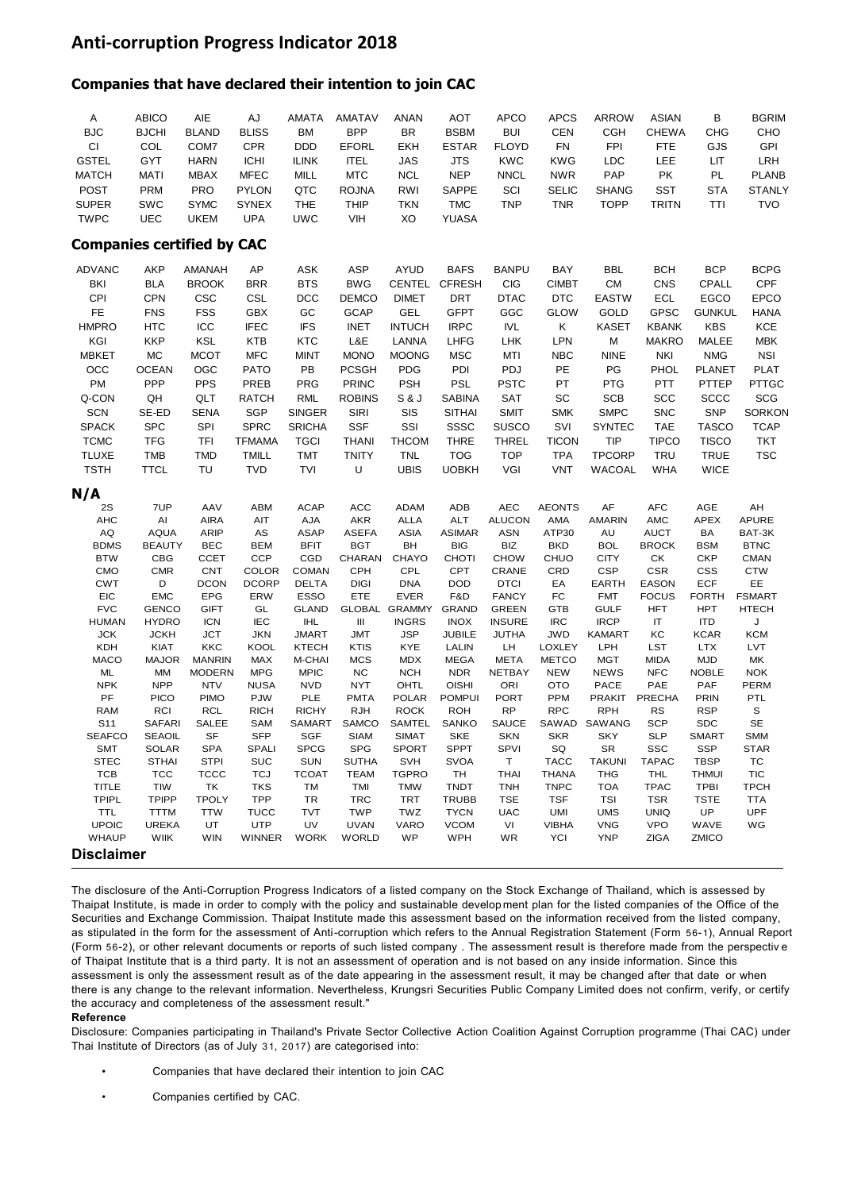## **Anti-corruption Progress Indicator 2018**

#### **Companies that have declared their intention to join CAC**

| Α                                                                                                                                                                                                                                                                                | <b>ABICO</b>                 | AIE                                                      | AJ                        | AMATA                      | <b>AMATAV</b>               | ANAN                          | <b>AOT</b>                  | <b>APCO</b>                   | <b>APCS</b>              | <b>ARROW</b>               | <b>ASIAN</b>                | В                           | <b>BGRIM</b>              |
|----------------------------------------------------------------------------------------------------------------------------------------------------------------------------------------------------------------------------------------------------------------------------------|------------------------------|----------------------------------------------------------|---------------------------|----------------------------|-----------------------------|-------------------------------|-----------------------------|-------------------------------|--------------------------|----------------------------|-----------------------------|-----------------------------|---------------------------|
| <b>BJC</b>                                                                                                                                                                                                                                                                       | <b>BJCHI</b>                 | <b>BLAND</b>                                             | <b>BLISS</b>              | BM                         | <b>BPP</b>                  | <b>BR</b>                     | <b>BSBM</b>                 | <b>BUI</b>                    | CEN                      | <b>CGH</b>                 | <b>CHEWA</b>                | <b>CHG</b>                  | CHO                       |
| CI                                                                                                                                                                                                                                                                               | COL                          | COM7                                                     | CPR                       | <b>DDD</b>                 | <b>EFORL</b>                | <b>EKH</b>                    | <b>ESTAR</b>                | <b>FLOYD</b>                  | <b>FN</b>                | <b>FPI</b>                 | <b>FTE</b>                  | GJS                         | GPI                       |
| <b>GSTEL</b>                                                                                                                                                                                                                                                                     | GYT                          | <b>HARN</b>                                              | <b>ICHI</b>               | <b>ILINK</b>               | <b>ITEL</b>                 | <b>JAS</b>                    | JTS                         | <b>KWC</b>                    | <b>KWG</b>               | <b>LDC</b>                 | LEE                         | LIT                         | LRH                       |
| <b>MATCH</b>                                                                                                                                                                                                                                                                     | <b>MATI</b>                  | <b>MBAX</b>                                              | <b>MFEC</b>               | MILL                       | <b>MTC</b>                  | <b>NCL</b>                    | <b>NEP</b>                  | <b>NNCL</b>                   | <b>NWR</b>               | PAP                        | PK                          | <b>PL</b>                   | <b>PLANB</b>              |
| <b>POST</b>                                                                                                                                                                                                                                                                      | PRM                          | <b>PRO</b>                                               | <b>PYLON</b>              | QTC                        | <b>ROJNA</b>                | RWI                           | <b>SAPPE</b>                | SCI                           | <b>SELIC</b>             | <b>SHANG</b>               | <b>SST</b>                  | <b>STA</b>                  | <b>STANLY</b>             |
| <b>SUPER</b>                                                                                                                                                                                                                                                                     | SWC                          | <b>SYMC</b>                                              | <b>SYNEX</b>              | THE                        | THIP                        | TKN                           | <b>TMC</b>                  | <b>TNP</b>                    | <b>TNR</b>               | <b>TOPP</b>                | <b>TRITN</b>                | TTI                         | <b>TVO</b>                |
| <b>TWPC</b>                                                                                                                                                                                                                                                                      | UEC                          | <b>UKEM</b>                                              | <b>UPA</b>                | <b>UWC</b>                 | <b>VIH</b>                  | XO                            | <b>YUASA</b>                |                               |                          |                            |                             |                             |                           |
| <b>Companies certified by CAC</b>                                                                                                                                                                                                                                                |                              |                                                          |                           |                            |                             |                               |                             |                               |                          |                            |                             |                             |                           |
| <b>ADVANC</b>                                                                                                                                                                                                                                                                    | <b>AKP</b>                   | AMANAH                                                   | AP                        | <b>ASK</b>                 | ASP                         | <b>AYUD</b>                   | <b>BAFS</b>                 | <b>BANPU</b>                  | BAY                      | BBL                        | <b>BCH</b>                  | <b>BCP</b>                  | <b>BCPG</b>               |
| BKI                                                                                                                                                                                                                                                                              | <b>BLA</b>                   | <b>BROOK</b>                                             | <b>BRR</b>                | <b>BTS</b>                 | <b>BWG</b>                  |                               | CENTEL CFRESH               | <b>CIG</b>                    | <b>CIMBT</b>             | <b>CM</b>                  | <b>CNS</b>                  | CPALL                       | CPF                       |
| CPI                                                                                                                                                                                                                                                                              | CPN                          | CSC                                                      | CSL                       | DCC                        | <b>DEMCO</b>                | <b>DIMET</b>                  | <b>DRT</b>                  | <b>DTAC</b>                   | <b>DTC</b>               | <b>EASTW</b>               | ECL                         | <b>EGCO</b>                 | EPCO                      |
| <b>FE</b>                                                                                                                                                                                                                                                                        | <b>FNS</b>                   | <b>FSS</b>                                               | <b>GBX</b>                | GC                         | <b>GCAP</b>                 | <b>GEL</b>                    | <b>GFPT</b>                 | GGC                           | <b>GLOW</b>              | GOLD                       | <b>GPSC</b>                 | <b>GUNKUL</b>               | <b>HANA</b>               |
| <b>HMPRO</b>                                                                                                                                                                                                                                                                     | <b>HTC</b>                   | ICC                                                      | <b>IFEC</b>               | <b>IFS</b>                 | <b>INET</b>                 | <b>INTUCH</b>                 | <b>IRPC</b>                 | <b>IVL</b>                    | Κ                        | <b>KASET</b>               | <b>KBANK</b>                | <b>KBS</b>                  | KCE                       |
| KGI                                                                                                                                                                                                                                                                              | <b>KKP</b>                   | <b>KSL</b>                                               | <b>KTB</b>                | KTC                        | L&E                         | LANNA                         | <b>LHFG</b>                 | <b>LHK</b>                    | LPN                      | М                          | <b>MAKRO</b>                | MALEE                       | <b>MBK</b>                |
| <b>MBKET</b><br>OCC                                                                                                                                                                                                                                                              | МC<br><b>OCEAN</b>           | <b>MCOT</b><br>OGC                                       | <b>MFC</b><br><b>PATO</b> | <b>MINT</b><br>PB          | <b>MONO</b><br><b>PCSGH</b> | <b>MOONG</b><br>PDG           | <b>MSC</b><br>PDI           | MTI<br><b>PDJ</b>             | <b>NBC</b><br>PE         | <b>NINE</b><br>PG          | NKI<br>PHOL                 | <b>NMG</b><br><b>PLANET</b> | <b>NSI</b><br><b>PLAT</b> |
| PM                                                                                                                                                                                                                                                                               | <b>PPP</b>                   | <b>PPS</b>                                               | PREB                      | <b>PRG</b>                 | <b>PRINC</b>                | <b>PSH</b>                    | <b>PSL</b>                  | <b>PSTC</b>                   | PT                       | <b>PTG</b>                 | <b>PTT</b>                  | PTTEP                       | <b>PTTGC</b>              |
| Q-CON                                                                                                                                                                                                                                                                            | QH                           | QLT                                                      | <b>RATCH</b>              | RML                        | <b>ROBINS</b>               | S & J                         | <b>SABINA</b>               | SAT                           | SC                       | <b>SCB</b>                 | <b>SCC</b>                  | <b>SCCC</b>                 | SCG                       |
| <b>SCN</b>                                                                                                                                                                                                                                                                       | SE-ED                        | <b>SENA</b>                                              | SGP                       | <b>SINGER</b>              | <b>SIRI</b>                 | SIS                           | <b>SITHAI</b>               | <b>SMIT</b>                   | <b>SMK</b>               | <b>SMPC</b>                | <b>SNC</b>                  | <b>SNP</b>                  | <b>SORKON</b>             |
| <b>SPACK</b>                                                                                                                                                                                                                                                                     | <b>SPC</b>                   | SPI                                                      | <b>SPRC</b>               | <b>SRICHA</b>              | <b>SSF</b>                  | SSI                           | SSSC                        | SUSCO                         | SVI                      | <b>SYNTEC</b>              | TAE                         | <b>TASCO</b>                | <b>TCAP</b>               |
| <b>TCMC</b>                                                                                                                                                                                                                                                                      | <b>TFG</b>                   | TFI                                                      | <b>TFMAMA</b>             | <b>TGCI</b>                | <b>THANI</b>                | <b>THCOM</b>                  | <b>THRE</b>                 | <b>THREL</b>                  | <b>TICON</b>             | TIP                        | <b>TIPCO</b>                | <b>TISCO</b>                | <b>TKT</b>                |
| <b>TLUXE</b>                                                                                                                                                                                                                                                                     | <b>TMB</b>                   | TMD                                                      | <b>TMILL</b>              | <b>TMT</b>                 | <b>TNITY</b>                | <b>TNL</b>                    | <b>TOG</b>                  | <b>TOP</b>                    | <b>TPA</b>               | <b>TPCORP</b>              | <b>TRU</b>                  | <b>TRUE</b>                 | <b>TSC</b>                |
| <b>TSTH</b>                                                                                                                                                                                                                                                                      | <b>TTCL</b>                  | TU                                                       | <b>TVD</b>                | TVI                        | U                           | <b>UBIS</b>                   | <b>UOBKH</b>                | VGI                           | <b>VNT</b>               | <b>WACOAL</b>              | <b>WHA</b>                  | <b>WICE</b>                 |                           |
| N/A                                                                                                                                                                                                                                                                              |                              |                                                          |                           |                            |                             |                               |                             |                               |                          |                            |                             |                             |                           |
| 2S                                                                                                                                                                                                                                                                               | 7UP                          | AAV                                                      | <b>ABM</b>                | <b>ACAP</b>                | ACC                         | <b>ADAM</b>                   | ADB                         | <b>AEC</b>                    | <b>AEONTS</b>            | AF                         | <b>AFC</b>                  | AGE                         | AH                        |
| AHC                                                                                                                                                                                                                                                                              | AI                           | <b>AIRA</b>                                              | AIT                       | AJA                        | <b>AKR</b>                  | <b>ALLA</b>                   | ALT                         | <b>ALUCON</b>                 | AMA                      | <b>AMARIN</b>              | <b>AMC</b>                  | <b>APEX</b>                 | <b>APURE</b>              |
| AQ<br><b>BDMS</b>                                                                                                                                                                                                                                                                | <b>AQUA</b><br><b>BEAUTY</b> | <b>ARIP</b><br><b>BEC</b>                                | AS<br><b>BEM</b>          | <b>ASAP</b><br><b>BFIT</b> | <b>ASEFA</b><br><b>BGT</b>  | ASIA<br>BH                    | <b>ASIMAR</b><br><b>BIG</b> | <b>ASN</b><br>BIZ             | ATP30<br><b>BKD</b>      | AU<br><b>BOL</b>           | <b>AUCT</b><br><b>BROCK</b> | BA<br><b>BSM</b>            | BAT-3K<br><b>BTNC</b>     |
| <b>BTW</b>                                                                                                                                                                                                                                                                       | <b>CBG</b>                   | <b>CCET</b>                                              | <b>CCP</b>                | CGD                        | CHARAN                      | <b>CHAYO</b>                  | <b>CHOTI</b>                | <b>CHOW</b>                   | <b>CHUO</b>              | <b>CITY</b>                | СK                          | <b>CKP</b>                  | <b>CMAN</b>               |
| CMO                                                                                                                                                                                                                                                                              | <b>CMR</b>                   | <b>CNT</b>                                               | <b>COLOR</b>              | <b>COMAN</b>               | <b>CPH</b>                  | CPL                           | <b>CPT</b>                  | CRANE                         | CRD                      | <b>CSP</b>                 | <b>CSR</b>                  | <b>CSS</b>                  | <b>CTW</b>                |
| <b>CWT</b>                                                                                                                                                                                                                                                                       | D                            | <b>DCON</b>                                              | <b>DCORP</b>              | <b>DELTA</b>               | <b>DIGI</b>                 | <b>DNA</b>                    | <b>DOD</b>                  | <b>DTCI</b>                   | EA                       | <b>EARTH</b>               | <b>EASON</b>                | ECF                         | <b>EE</b>                 |
| <b>EIC</b>                                                                                                                                                                                                                                                                       | <b>EMC</b>                   | EPG                                                      | ERW                       | <b>ESSO</b>                | ETE                         | <b>EVER</b>                   | F&D                         | <b>FANCY</b>                  | FC                       | <b>FMT</b>                 | <b>FOCUS</b>                | <b>FORTH</b>                | <b>FSMART</b>             |
| <b>FVC</b><br><b>HUMAN</b>                                                                                                                                                                                                                                                       | <b>GENCO</b><br><b>HYDRO</b> | <b>GIFT</b><br><b>ICN</b>                                | GL<br><b>IEC</b>          | <b>GLAND</b><br><b>IHL</b> | Ш                           | GLOBAL GRAMMY<br><b>INGRS</b> | <b>GRAND</b><br><b>INOX</b> | <b>GREEN</b><br><b>INSURE</b> | <b>GTB</b><br><b>IRC</b> | <b>GULF</b><br><b>IRCP</b> | <b>HFT</b><br>IT            | <b>HPT</b><br><b>ITD</b>    | <b>HTECH</b><br>J         |
| <b>JCK</b>                                                                                                                                                                                                                                                                       | <b>JCKH</b>                  | JCT                                                      | <b>JKN</b>                | <b>JMART</b>               | <b>JMT</b>                  | <b>JSP</b>                    | <b>JUBILE</b>               | JUTHA                         | <b>JWD</b>               | <b>KAMART</b>              | KC                          | <b>KCAR</b>                 | <b>KCM</b>                |
| <b>KDH</b>                                                                                                                                                                                                                                                                       | <b>KIAT</b>                  | <b>KKC</b>                                               | <b>KOOL</b>               | <b>KTECH</b>               | KTIS                        | <b>KYE</b>                    | LALIN                       | LH                            | <b>LOXLEY</b>            | LPH                        | <b>LST</b>                  | <b>LTX</b>                  | LVT                       |
| <b>MACO</b>                                                                                                                                                                                                                                                                      | <b>MAJOR</b>                 | <b>MANRIN</b>                                            | MAX                       | M-CHAI                     | <b>MCS</b>                  | <b>MDX</b>                    | <b>MEGA</b>                 | <b>META</b>                   | <b>METCO</b>             | <b>MGT</b>                 | <b>MIDA</b>                 | <b>MJD</b>                  | MK                        |
| ML<br><b>NPK</b>                                                                                                                                                                                                                                                                 | MM<br><b>NPP</b>             | <b>MODERN</b><br><b>NTV</b>                              | <b>MPG</b><br><b>NUSA</b> | <b>MPIC</b><br><b>NVD</b>  | <b>NC</b><br><b>NYT</b>     | <b>NCH</b><br>OHTL            | <b>NDR</b><br><b>OISHI</b>  | <b>NETBAY</b><br>ORI          | <b>NEW</b><br><b>OTO</b> | <b>NEWS</b><br>PACE        | <b>NFC</b><br>PAE           | <b>NOBLE</b><br>PAF         | <b>NOK</b><br><b>PERM</b> |
| PF                                                                                                                                                                                                                                                                               | <b>PICO</b>                  | <b>PIMO</b>                                              | <b>PJW</b>                | <b>PLE</b>                 | <b>PMTA</b>                 | <b>POLAR</b>                  | <b>POMPUI</b>               | <b>PORT</b>                   | PPM                      | <b>PRAKIT</b>              | PRECHA                      | <b>PRIN</b>                 | PTL                       |
| <b>RAM</b>                                                                                                                                                                                                                                                                       | RCI                          | <b>RCL</b>                                               | <b>RICH</b>               | <b>RICHY</b>               | <b>RJH</b>                  | <b>ROCK</b>                   | <b>ROH</b>                  | <b>RP</b>                     | <b>RPC</b>               | <b>RPH</b>                 | <b>RS</b>                   | <b>RSP</b>                  | S                         |
| S <sub>11</sub>                                                                                                                                                                                                                                                                  | <b>SAFARI</b>                | <b>SALEE</b>                                             | <b>SAM</b>                | SAMART                     | SAMCO                       | SAMTEL                        | <b>SANKO</b>                | <b>SAUCE</b>                  | SAWAD                    | SAWANG                     | <b>SCP</b>                  | <b>SDC</b>                  | <b>SE</b>                 |
| <b>SEAFCO</b>                                                                                                                                                                                                                                                                    | <b>SEAOIL</b>                | SF                                                       | <b>SFP</b>                | <b>SGF</b>                 | <b>SIAM</b>                 | <b>SIMAT</b>                  | <b>SKE</b>                  | <b>SKN</b><br>SPVI            | <b>SKR</b>               | <b>SKY</b>                 | <b>SLP</b>                  | <b>SMART</b><br><b>SSP</b>  | <b>SMM</b>                |
| <b>SMT</b><br>STEC                                                                                                                                                                                                                                                               | <b>SOLAR</b><br><b>STHAI</b> | <b>SPA</b><br><b>STPI</b>                                | SPALI<br>SUC              | <b>SPCG</b><br>SUN         | <b>SPG</b><br><b>SUTHA</b>  | SPORT<br>SVH                  | <b>SPPT</b><br><b>SVOA</b>  | T.                            | SQ<br><b>TACC</b>        | SR<br><b>TAKUNI</b>        | SSC<br><b>TAPAC</b>         | <b>TBSP</b>                 | <b>STAR</b><br>ТC         |
| TCB                                                                                                                                                                                                                                                                              | TCC                          | TCCC                                                     | TCJ                       | <b>TCOAT</b>               | <b>TEAM</b>                 | <b>TGPRO</b>                  | TH                          | <b>THAI</b>                   | THANA                    | THG                        | THL                         | <b>THMUI</b>                | <b>TIC</b>                |
| TITLE                                                                                                                                                                                                                                                                            | TIW                          | TK                                                       | TKS                       | TМ                         | TMI                         | <b>TMW</b>                    | <b>TNDT</b>                 | TNH                           | <b>TNPC</b>              | TOA                        | <b>TPAC</b>                 | <b>TPBI</b>                 | ТРСН                      |
| <b>TPIPL</b>                                                                                                                                                                                                                                                                     | <b>TPIPP</b>                 | <b>TPOLY</b>                                             | TPP                       | TR                         | TRC                         | TRT                           | <b>TRUBB</b>                | <b>TSE</b>                    | <b>TSF</b>               | TSI                        | TSR                         | <b>TSTE</b>                 | <b>TTA</b>                |
| <b>TTL</b><br><b>UPOIC</b>                                                                                                                                                                                                                                                       | <b>TTTM</b><br><b>UREKA</b>  | <b>TTW</b><br>UT                                         | <b>TUCC</b><br><b>UTP</b> | <b>TVT</b><br>UV           | TWP<br><b>UVAN</b>          | TWZ<br>VARO                   | <b>TYCN</b><br><b>VCOM</b>  | UAC<br>VI                     | UMI<br><b>VIBHA</b>      | UMS<br><b>VNG</b>          | <b>UNIQ</b><br><b>VPO</b>   | UP<br>WAVE                  | <b>UPF</b><br>WG          |
| <b>WHAUP</b>                                                                                                                                                                                                                                                                     | <b>WIIK</b>                  | WIN                                                      | WINNER                    | <b>WORK</b>                | <b>WORLD</b>                | <b>WP</b>                     | <b>WPH</b>                  | WR                            | YCI                      | YNP                        | ZIGA                        | <b>ZMICO</b>                |                           |
| <b>Disclaimer</b>                                                                                                                                                                                                                                                                |                              |                                                          |                           |                            |                             |                               |                             |                               |                          |                            |                             |                             |                           |
|                                                                                                                                                                                                                                                                                  |                              |                                                          |                           |                            |                             |                               |                             |                               |                          |                            |                             |                             |                           |
| The disclosure of the Anti-Corruption Progress Indicators of a listed company on the Stock Exchange of Thailand, which is assessed by                                                                                                                                            |                              |                                                          |                           |                            |                             |                               |                             |                               |                          |                            |                             |                             |                           |
| Thaipat Institute, is made in order to comply with the policy and sustainable development plan for the listed companies of the Office of the                                                                                                                                     |                              |                                                          |                           |                            |                             |                               |                             |                               |                          |                            |                             |                             |                           |
| Securities and Exchange Commission. Thaipat Institute made this assessment based on the information received from the listed company,                                                                                                                                            |                              |                                                          |                           |                            |                             |                               |                             |                               |                          |                            |                             |                             |                           |
| as stipulated in the form for the assessment of Anti-corruption which refers to the Annual Registration Statement (Form 56-1), Annual Repor                                                                                                                                      |                              |                                                          |                           |                            |                             |                               |                             |                               |                          |                            |                             |                             |                           |
| (Form 56-2), or other relevant documents or reports of such listed company. The assessment result is therefore made from the perspective                                                                                                                                         |                              |                                                          |                           |                            |                             |                               |                             |                               |                          |                            |                             |                             |                           |
| of Thaipat Institute that is a third party. It is not an assessment of operation and is not based on any inside information. Since this<br>assessment is only the assessment result as of the date appearing in the assessment result, it may be changed after that date or when |                              |                                                          |                           |                            |                             |                               |                             |                               |                          |                            |                             |                             |                           |
| there is any change to the relevant information. Nevertheless, Krungsri Securities Public Company Limited does not confirm, verify, or certify                                                                                                                                   |                              |                                                          |                           |                            |                             |                               |                             |                               |                          |                            |                             |                             |                           |
| the accuracy and completeness of the assessment result."                                                                                                                                                                                                                         |                              |                                                          |                           |                            |                             |                               |                             |                               |                          |                            |                             |                             |                           |
| Reference                                                                                                                                                                                                                                                                        |                              |                                                          |                           |                            |                             |                               |                             |                               |                          |                            |                             |                             |                           |
| Disclosure: Companies participating in Thailand's Private Sector Collective Action Coalition Against Corruption programme (Thai CAC) unde<br>Thai Institute of Directors (as of July 31, 2017) are categorised into:                                                             |                              |                                                          |                           |                            |                             |                               |                             |                               |                          |                            |                             |                             |                           |
|                                                                                                                                                                                                                                                                                  |                              | Companies that have declared their intention to join CAC |                           |                            |                             |                               |                             |                               |                          |                            |                             |                             |                           |
|                                                                                                                                                                                                                                                                                  |                              | Companies certified by CAC.                              |                           |                            |                             |                               |                             |                               |                          |                            |                             |                             |                           |

- Companies that have declared their intention to join CAC
-